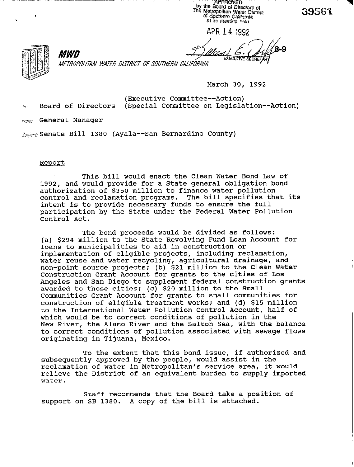APPROVED by the Board of Directors of<br>The Metropolitan Walter District<br>Di Southern Calibrais of Southern California at its meeting held

APR 14 1992

39561



*ME7RUt'OUTAN WATEB DISTRICT Of SOUTHERN CALIFORNIA* 

**March 30, 1992** 

EXECUTIVE SE

**(Executive Committee--Action) % Board of Directors (Special Committee on Legislation--Action)** 

**,tio,,: General Manager** 

**MWD** 

Subject: Senate Bill 1380 (Ayala--San Bernardino County)

#### **Reoort**

**This bill would enact the Clean Water Bond Law of 1992, and would provide for a State general obligation bond authorization of \$350 million to finance water pollution control and reclamation programs. The bill specifies that its intent is to provide necessary funds to ensure the full participation by the State under the Federal Water Pollution Control Act.** 

**The bond proceeds would be divided as follows: (a) \$294 million to the State Revolving Fund Loan Account for loans to municipalities to aid in construction or implementation of eligible projects, including reclamation, water reuse and water recycling, agricultural drainage, and non-point source projects: (b) \$21 million to the Clean Water Construction Grant Account for grants to the cities of Los Angeles and San Diego to supplement federal construction grants awarded to those cities; (c) \$20 million to the Small Communities Grant Account for grants to small communities for construction of eligible treatment works: and (d) \$15 million to the International Water Pollution Control Account, half of which would be to correct conditions of pollution in the New River, the Alamo River and the Salton Sea, with the balance to correct conditions of pollution associated with sewage flows originating in Tijuana, Mexico.** 

**To the extent that this bond issue, if authorized and subsequently approved by the people, would assist in the reclamation of water in Metropolitan's service area, it would relieve the District of an equivalent burden to supply imported water.** 

**Staff recommends that the Board take a position of support on SB 1380. A copy of the bill is attached.**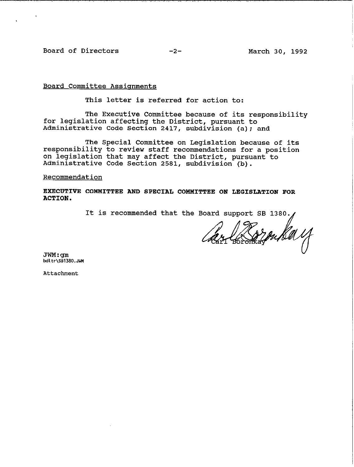Board of Directors -2- March 30, 1992

Board Committee Assignments

This letter is referred for action to:

The Executive Committee because of its responsibility for legislation affecting the District, pursuant to Administrative Code Section 2417, subdivision (a); and

The Special Committee on Legislation because of its responsibility to review staff recommendations for a position on legislation that may affect the District, pursuant to Administrative Code Section 2581, subdivision (b).

Recommendation

EXECUTIVE CONRITTEE AND SPECIAL COMMITTEE ON LEGISLATION FOR ACTION.

It is recommended that the Board support SB 1380.

youka y

JWM:GM<br>"Jit-\ea170" **MLtr\SB1380.JUM** 

**Attachment**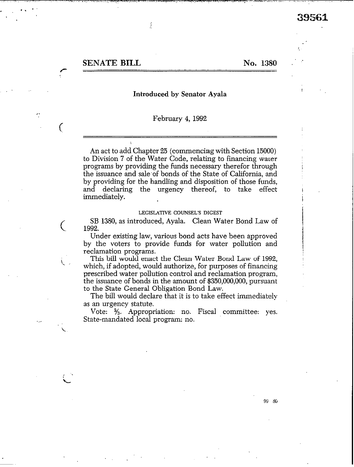SENATE BILL No. 1380

#-

 $\big($ 

<sup>s</sup>

i

. 1

## Introduced by Senator Ayala

ł

### February 4, 1992

An act to add Chapter 25 (commencing with Section 15000) to Division 7 of the Water Code, relating to financing warer programs by providing the funds necessary therefor through the issuance and sale of bonds of the State of California, and by providing for the handling and disposition of those funds, and declaring the urgency thereof, to take effect immediately.

## LEGISLATIVE COUNSEL'S DIGEST

SB 1380, as introduced, Ayala. Clean Water Bond Law of 1992.

Under existing law, various bond acts have been approved by the voters to provide funds for water pollution and reclamation programs.

**i This** bill would enact the Clean Water Bond Law of 1992, which, if adopted, would authorize, for purposes of financing prescribed water pollution control and reclamation program, the issuance of bonds in the amount of \$350,000,000, pursuant to the State General Obligation Bond Law.

The bill would declare that it is to take effect immediately as an urgency statute.

Vote:  $\frac{2}{3}$ . Appropriation: no. Fiscal committee: yes. State-mandated local program: no.

99 scl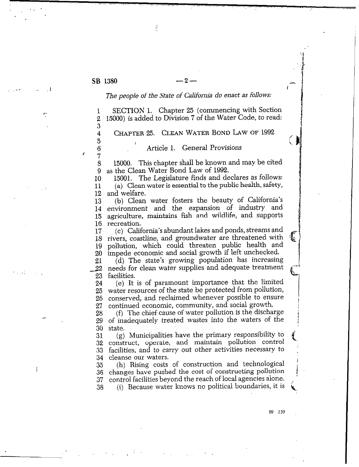$\overline{\mathbf{4}}$ 

 $\overline{5}$ 6 7

 $\mathbf{r}$ 

ś

 $: \mathbb{R} \times \mathbb{R} \rightarrow \mathbb{R} \times \mathbb{R}$ 

I.

J

## *The people of the State of* California *do enact as* follows:

SECTION 1. Chapter 25 (commencing with Section  $\bf{l}$ 15000) is added to Division 7 of the Water Code, to read:  $\overline{2}$ 3

CHAPTER 25. CLEAN WATER BOND LAW OF 1992

# Article 1. General Provisions

8 9 15000. This chapter shall be known and may be cited as the Clean Water Bond Law of 1992.

**10**  11 12 15001. The Legislature finds and declares as follows: (a) Clean water is essential to the public health, safety, and welfare.

13 14 15 16 (b) Clean water fosters the beauty of California's environment and the expansion of industry and agriculture, maintains fish and wildlife, and supports recreation.

17 18 19 20 (c) California's abundant lakes and ponds, streams and rivers, coastline, and groundwater are threatened with pollution, which could threaten public health and impede economic and social growth if left unchecked.

21 -22 23 (d) The state's growing population has increasing needs for clean water supplies and adequate treatment facilities.

24 25 26 27 (e) It is of paramount importance that the limited water resources of the state be protected from pollution, conserved, and reclaimed whenever possible to ensure continued economic, community, and social growth.

28 29 30 (f) The chief cause of water pollution is the discharge of inadequately treated wastes into the waters of the state.

31 32 construct, operate, and maintain pollution control 33 facilities, and to carry out other activities necessary to 34 cleanse our waters. (g) Municipalities have the primary responsibility to

35 36 changes have pushed the cost of constructing pollution 31 (h) Rising costs of construction and technological control facilities beyond the reach of local agencies alone.

38 (i) Because water knows no political boundaries, it is

99 110

 $\left( \right)$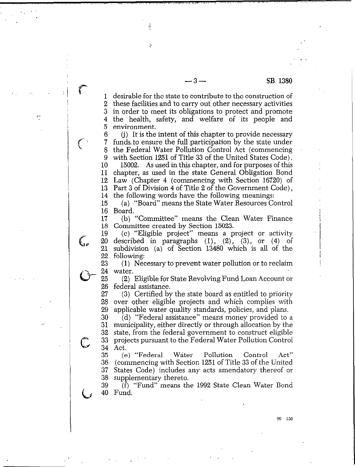1 2 3 in order to meet its obligations to protect and promote 4 5 desirable for the state to contribute to the construction of these facilities and to carry out other necessary activities the health, safety, and welfare of its people and environment.

1.

 $\zeta_{\rm R}$ 

 $\mathcal{C}$ 

6 7 8 9 10 11 chapter, as used in the state General Obligation Bond 12 Law (Chapter 4 (commencing with Section 16720) of 13 14 (j) It is the intent of this chapter to provide necessary funds, to ensure the full participation by the state under the Federal Water Pollution Control Act (commencing with Section 1251 of Title 33 of the United States Code). 15002. As used in this chapter, and for purposes of this Part 3 of Division 4 of Title 2 of the Government Code), the following words have the following meanings:

15 16 (a) "Board" means the State Water Resources Control Board.

17 18 (b) "Committee" means the Clean Water Finance Committee created by Section 15023.

19 (c) "Eligible project" means a project or activity 20 described in paragraphs  $(1)$ ,  $(2)$ ,  $(3)$ , or  $(4)$  of 21 subdivision (a) of Section 13480 which is all of the 22 following:

23 (1) Necessary to prevent water pollution or to reclaim 24 water.

25 (2) Eligible for State Revolving Fund Loan Account or 26 federal assistance.

27 28 29 (3) Certified by the state board as entitled to priority over other eligible projects and which complies with applicable water quality standards, policies, and plans.

30 31 32 33 34 (d) "Federal assistance" means money provided to a municipality, either directly or through allocation by the state, from the federal government to construct eligible projects pursuant to the Federal Water Pollution Control Act.

35 36 37 38 (e) "Federal Water Pollution Control Act" (commencing with Section 1251 of Title 33 of the United States Code) includes any acts amendatory thereof or supplementary thereto.

39 40 (f) "Fund" means the 1992 State Clean Water Bond Fund.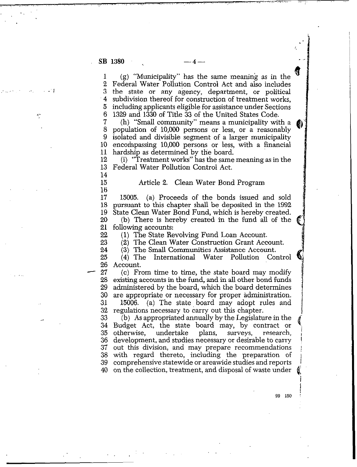15 16

22 23 24

/

1.

1 2 3 .4 5 6 (g) "Municipality" has the same meaning as in the Federal Water Pollution Control Act and also includes the state or any agency, department, or political subdivision thereof for construction of treatment works, including applicants eligible for assistance under Sections 1329 and 1330 of Title 33 of the United States Code.

7 8 9 10 11 (h) "Small community" means a municipality with a population of 10,006 persons or less, or a reasonably isolated and divisible segment of a larger municipality encompassing 10,000 persons or less, with a financial hardship as determined by the board.

12 13 14 (i) "Treatment works" has the same meaning as in the Federal Water Pollution Control Act.

Article 2. Clean Water Bond Program

17 18 19 20 21 15005. (a) Proceeds of the bonds issued and sold pursuant to this chapter shah be deposited in the 1992 State Clean Water Bond Fund, which is hereby created. (b) There is hereby created in the fund all of the following accounts:

(1) The State Revolving Fund Loan Account.

(2) The Clean Water Construction Grant Account.

25 26 (3) The Small Communities Assistance Account,  $(4)$  The International Water Pollution Account.

- 27 28 29 30 31 32 (c) From time to time, the state board may modify existing accounts in the fund, and in all other bond funds administered by the board, which the board determines are appropriate or necessary for proper administration. 15006. (a) The state, board may adopt rules and regulations necessary to carry out this chapter.

33 (b) As appropriated annually by the Legislature in the Budget Act, the state board may, by contract or otherwise, undertake plans, surveys, research, 34<br>35 undertake 36 development, and studies necessary **or** desirable to carry  $37<sup>°</sup>$ out this division, and may prepare recommendations with regard thereto, including the preparation of comprehensive statewide or areawide studies and reports 39. 40 on the collection, treatment, and disposal of waste under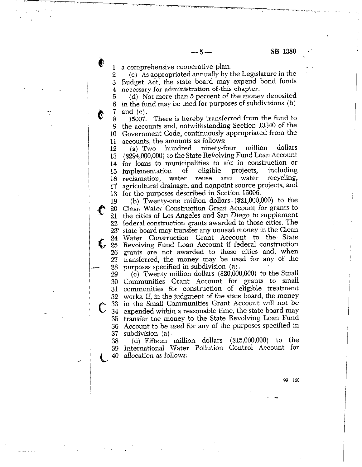a comprehensive cooperative plan.  $\mathbf{1}$ 

'\

/

 $\bullet$ 

Ĉ

(c) As appropriated annually by the Legislature in the' .\*  $\mathbf 2$ Budget Act, the state board may expend bond funds. 3 necessary for administration of.this chapter. 4

..'I/ ,.- .,.i .\_,;;. I . ,, .

 $-5-$ 

(d) Not more than 5 percent of the money deposited 5 in the fund may be used for purposes of subdivisions (b) 6 7 and (c).

15007. There is hereby transferred from the fund to 8 the accounts and. notwithstanding Section 13340 of the 9 Government Code, continuously appropriated from the 10 accounts, the amounts as follows:<br>(a) Two hundred ninety-four  $11$ 

12 (a) Two hundred ninety-four million dollars 13 (\$294,000,000) to the State Revolving Fund Loan Account for loans to municipalities to aid in construction or 14 implementation of eligible projects, including<br>reclamation, water reuse and water recycling, 15 reclamation, water reuse and water 16 agricultural drainage, and noppoint source projects, and 17 for the purposes described in Section 15006.

 $\frac{18}{19}$ 18 for the purpos<br>
19 (b) Twenty<br>
20 Clean Water (<br>
21 the cities of L<br>
22 federal construence of the contract of the cities of L<br>
23 state board management 23'  $\epsilon$ ,  $\frac{1}{25}$ 26 27 28 (b) Twenty-one million dollars. (\$21,000,000) to the Clean Water Construction Grant Account for grants to the cities of Los Angeles and San Diego to supplement federal construction grants awarded to those cities. The state board may transfer any unused money in the Clean Water Construction Grant Account to the State Revolving Fund Loan Account if federal construction grants are not awarded to these cities and, when transferred, the money may be used for any of the purposes specified in subdivision (a),

(c) Twenty million dollars (\$20,090,900) to the Small 29 Communities Grant Account for grants to small 30 communities for construction of eligible treatment works. If, in the judgment of the state board, the money 32 33 in the Small Communities Grant Account will not be expended within a reasonable time, the state board may 34 transfer the money to the State Revolving Loan Fund 35 36 Account to be used for any of the purposes specified in  $\mathbb{R}^2$ 37 subdivision (a).

(d) Fifteen million dollars (\$15,000,000) to the 38 International Water Pollution Control Account for 39 40 allocation as follows: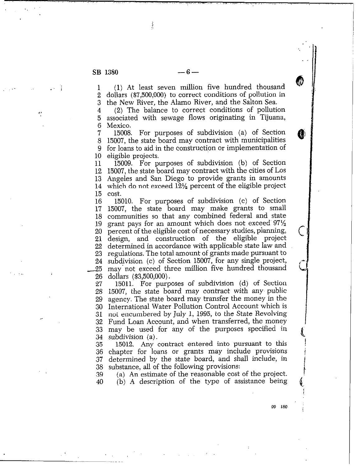.,

.

ł

.- i.; 1 2 3 (1) At least seven million five hundred thousand dollars (\$7,500,000) to correct conditions of pollution in the New River, the Alamo River, and the Salton Sea.

 $\sim$  4 5 6 (2) The balance to correct conditions of pollution associated with sewage flows originating in Tijuana, Mexico.

> 7 8 9 10 15008. For purposes of subdivision (a) of Section 15008. For purposes of subdivision (a) of Section (15007, the state board may contract with municipalities for loans to aid in the construction or implementation of eligible projects.

11 12 13 Angeles and San Diego to provide grants in amounts 14 15009. For purposes of subdivision (b) of Section 15007, the state board may contract with the cities of **LOS**  which do not exceed  $12\frac{1}{2}$  percent of the eligible project 15 cost.

16 15010. For purposes of subdivision (c) of Section I7 15007. the state board may make grants to small 18 communities so that any combined federal and state 19 grant pays for an amount which does not exceed  $97\frac{1}{2}$ 20 percent of the eligible cost of necessary studies, planning, design, and construction of the eligible project 22 determined in accordance with applicable state law and 23 regulations. The total amount of grants made pursuant to 24 subdivision (c) of Section 15007, for any single project, 25 may not exceed three million five hundred thousand<br>26 dollars (\$3,500,000). 26 dollars (\$3,500,000).

27 15011. For purposes of subdivision (d) of Section 28 15007, the state board may contract with any public<br>29 agency. The state board may transfer the money in the agency. The state board may transfer the money in the 30 International Water Pollution Control Account which is 31 not encumbered by July 1, 1995, to the State Revolving 32 Fund Loan Account, and when transferred, the money may be used for any of the purposes specified in

34 subdivision (a).<br>35 15012. Any ( 35 15012. Any contract entered into pursuant to this<br>36 chapter for loans or grants may include provisions 36 chapter for loans or grants may include provisions 37 determined by the state board, and shall include, in 38 substance, all of the following provisions:<br>39 (a) An estimate of the reasonable cost

/

1.

1

99 180 ;

39 (a) An estimate of the reasonable cost of the project.  $(b)$  A description of the type of assistance being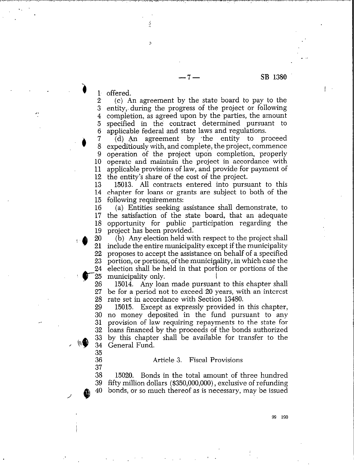#### -7- **SB 1380**

I

**3** loffered. ş

Ķ

**36 37** 

35

**2.**  (c) An agreement by the state board to pay to the entity, during the progress of the project or following  $\frac{3}{4}$ completion, as agreed upon by the parties, the amount specified in the contract determined pursuant to **5**  6 applicable federal and state laws and regulations.

**; ,) 8 9 10**  operate and maintain the project in accordance with **11**  applicable provisions of law, and provide for payment of **12**  the entity's share of the cost of the project. (d) An agreement by the entity to proceed expeditiously with, and complete, the project, commence operation of the project upon completion, properly

**13 14**  chapter for loans or grants are subject to both of the  $15$  following requirement 15013. All contracts entered into pursuant to this

**16**  (a) Entities seeking assistance shall demonstrate, to the satisfaction of the state board, that an adequate **17 18**  opportunity for public participation regarding the 19 project has been provided.

20 (b) Any election held with respect to the project shall 21 include the entire municipality except if the municipality  $22<sub>1</sub>$ proposes to accept the assistance on behalf of a specified 23 portion, or portions, of the municipality, in which case the 24 election shall be held in that portion or portions of the  $25<sub>2</sub>$ municipality only.

26 15014. Any loan made pursuant to this chapter shall **27**  be for a period not to exceed 20 years, with an interest **28**  rate set in accordance with Section 13480.

**29**  15015. Except as expressly provided in this chapter, **30**  no money deposited in the fund pursuant to any **31**  provision of law requiring repayments to the state for **32**  loans financed by the proceeds of the bonds authorized 33 by this chapter shall be available for transfer to the 34 General Fund.

## Article 3. Fiscal Provisions

**38**  15020. Bonds in the total amount of three hundred **39**  fifty million dollars (\$350,000,000), exclusive of refunding bonds, or so much thereof as is necessary, may be issued 40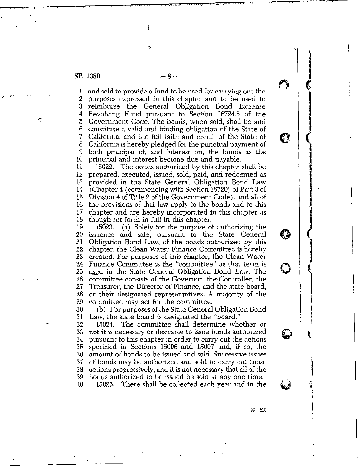1 2 3  $\frac{4}{5}$ 6 7 8 9 10 and sold to provide a fund to be used for carrying out the purposes expressed in this chapter and to be used to reimburse the General Obligation Bond Expense Revolving Fund pursuant to Section 16724.5 of the Government Code. The bonds, when sold, shall be and constitute a valid and binding obligation of the State of California, and the full faith and credit of the State of California is hereby pledged for the punctual payment of both principal of, and interest on, the bonds as the principal and interest become due and payable.

> 11 12 13 14 15 16 17 18 15022. The bonds authorized by this chapter shall be prepared, executed, issued, sold, paid, and redeemed as provided in the State General Obligation Bond Law (Chapter 4 (commencing with Section 16720) of Part 3 of Division 4 of Title 2 of the Government Code), and all of the provisions of that law apply to the bonds and to this chapter and are hereby incorporated in this chapter as though set forth in full in this chapter.

> 19 20 21 22 23 24 25 26 27 28 29 15023. (a) Solely for the purpose of authorizing the issuance and sale, pursuant to the State General Obligation Bond Law, of the bonds authorized by this chapter, the Clean Water Finance Committee is hereby created. For purposes of this chapter, the Clean Water Finance Committee is the "committee" as that term is used in the State General Obligation Bond Law. The committee consists of the Governor, the Controller, the Treasurer, the Director of Finance, and the state board, or their designated representatives. A majority of the committee may act for the committee.

30 31 (b) For purposes of the State General Obligation Bond Law, the state board is designated the "board."

32 33 34 35 36 31 38 39 40 15024. The committee shall determine whether or not it is necessary or desirable to issue bonds authorized pursuant to this chapter in order to carry out the actions specified in Sections 15006 and 15007 and, if so, the amount of bonds to be issued and sold. Successive issues of bonds may be authorized and sold to carry out those actions progressively, and it is not necessary that allof the bonds authorized to be issued be sold at any one time: 15025. There shall be collected each year and in the

 $\cdot$  .

93 **210** 

長身

O

(1)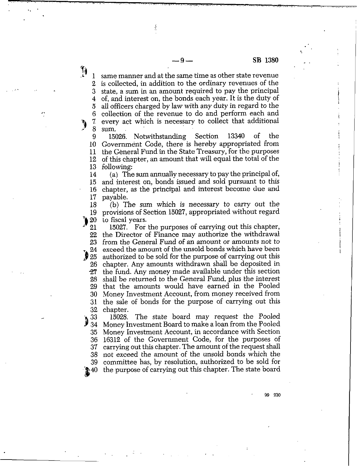$\cdot$  ,

same manner and at the same time as other state revenue  $\mathbf{1}$ is collected, in addition to the ordinary revenues of the 2 state, a sum in an amount required to pay the principal 3 of, and interest on, the bonds each year. It is the duty of 4 all officers charged by law with any duty in regard to the 5 collection of the revenue to do and perform each and 6 every act which is necessary to collect that additional 7. 8 sum.

Í

9 **10**  11 12 13 15026. Notwithstanding Section 13340 of the Government Code, there is hereby appropriated from the General Fund in the State Treasury, for the purposes of this chapter, an amount that will equal the total of the following:

14 15 16 17 (a) The sum annually necessary to pay the principal of, and interest on. bonds issued and sold pursuant to this chapter, as the principal and interest become due and payable.

 $\frac{18}{19}$ (b) The sum which is necessary to carry out the 19 provisions of Section 15027, appropriated without regard

**Ib21** 20 to fiscal years.

 $\mathbf{r}$ 

 $\mathbf{r}$ 

15027. For the purposes of carrying out this chapter, 22 the Director of Finance may authorize the withdrawal 23 from the General Fund of an amount or amounts not to exceed the amount of the unsold bonds which have been  $\sqrt[24]{25}$ authorized to be sold for the purpose of carrying out this chapter. Any amounts withdrawn shall be deposited in 26 the fund. Any money made available under this section 27 28 shall be returned to the **General** Fund, plus the interest that the amounts would have earned in the Pooled 29 Money Investment Account, from money received from 30 the sale of bonds for the purpose of carrying out this 31 32

chapter.<br>15028. The state board may request the Pooled 33  $\frac{33}{34}$ Money Investment Board to make a loan from the Pooled Money Investment Account, in accordance with Section 35 16312 of the Government Code, for the purposes of 36 37 carrying out this chapter. The amount of the request shall not exceed the amount of the unsold bonds which the 38 committee has, by resolution, authorized to be sold for  $39$ <br> $240$ the purpose of carrying out this chapter. The state board

 $\mathbf{r}$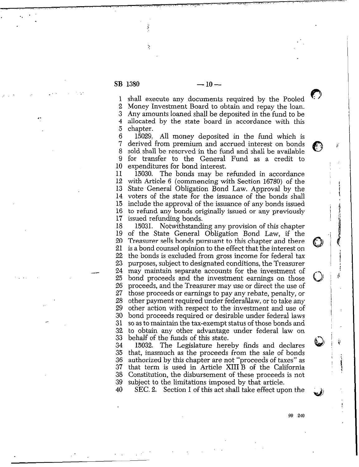Ř

. . . . . . . . . . . . . . . . .  $\mathbf{r}_i$ 

., .

.

 $-10-$ 

shall execute any documents required by the Pooled 1  $\mathbf{2}$ Money Investment Board to obtain and repay the loan. 3 Any amounts loaned shall be deposited in the fund to be allocated by the state board in accordance with this  $\overline{4}$ 5 chapter.<br>15029.

**6 7 8 9 10**  All money deposited in the fund which is derived from premium and accrued interest on bonds sold. shall be reserved in the fund and shall be available for transfer to the General Fund as a credit to expenditures for bond interest.

11 **12 13 14**  voters of the state for the issuance of the bonds shall 15 **16 17**  15030. The bonds may be refunded in accordance with Article 6 (commencing with Section 16780) of the State.General Obligation Bond Law. Approval by the include the approval of the issuance of any bonds issued to refund any bonds originally issued or any previously issued refunding bonds.

**18 19 20 21 22 23 24 2s 26 27 28 29 30 31 32 33**  15031. Notwithstanding any provision of this chapter of the State General Obligation Bond Law, if the Treasurer sells bonds pursuant to this chapter and there is a bond counsel opinion to the effect that the interest on the bonds is excluded from gross income for federal tax purposes, subject to designated conditions, the Treasurer may maintain separate accounts for the investment of bond proceeds and the investment earnings on those proceeds, and the Treasurer may use or direct the use of those proceeds or earnings to pay any rebate, penalty, or other payment required under federahlaw, or to take any other action with respect to the investment and use of bond proceeds required or desirable under federal laws so as to maintain the tax-exempt status of those bonds and to obtain any other advantage under federal law on behalf of the funds of this state.

**34 35 36 37 38 39**  15032. The Legislature hereby finds and declares that, inasmuch as the proceeds from the sale of bonds authorized by this chapter are not "proceeds of taxes" as that term is used in Article XIII B of the California Constitution, the disbursement of these proceeds is not subject to the limitations imposed by that article.

**40**  SEC. 2. Section **1** of this act shall take effect upon the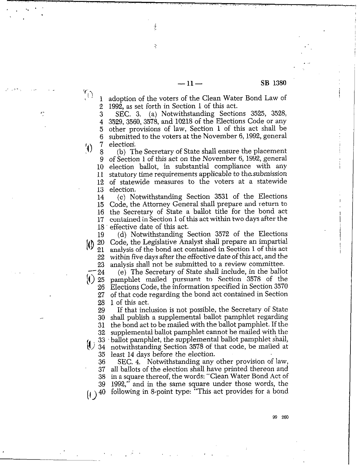$-11 -$  SB 1380

adoption of the voters of the Clean Water Bond Law of  $\mathbf{1}$ 1992, as set forth in Section 1 of this act.  $\overline{2}$ 

Ĵ,

ž

, . ., .

 $\mathcal{L}^{\mathcal{L}}$  ,  $\mathcal{L}^{\mathcal{L}}$  ,  $\mathcal{L}^{\mathcal{L}}$  ,  $\mathcal{L}^{\mathcal{L}}$ 

 $\cdot$ 

 $\mathcal{L}_{\left( \cdot\right) }$ 

 $\mathcal{L}$ 

.

 $\cdot$  .

SEC. 3. (a) Notwithstanding Sections 3525, 3528, 3 3529,3560,3578, and 10218 of the Elections Code or any 4 other provisions of law, Section 1 of this act shall be 5 submitted to the voters at the November 6,1992, general 6 7 election'.

(b) The Secretary of State shall ensure the placement 8 9 of Section 1 of this act on the November 6, 1992, general election ballot, in substantial compliance with any **10**  statutory time requirements applicable to the submission 11 of statewide measures to the voters at a statewide 12 13 election.

14 15 16  $\frac{17}{18}$ (c) Notwithstanding Section 3531 of the Elections Code, the Attorney General shall prepare and return to the Secretary of State a ballot title for the bond act contained in Section 1 of this act within two days after the effective date of this act.

(d) Notwithstanding Section 3572 of the Elections 19 Code, the Legislative Analyst shall prepare an impartial  $\{0\}_{21}^{20}$ analysis of the bond act contained in Section 1 of this act within five days after the effective date of this act, and the  $\frac{22}{23}$ analysis shall not be submitted to a review committee.

(e) The Secretary of State shall include, in the ballot 24  $\vert$ () 25 pamphlet mailed pursuant to Section 3578 of the Elections Code, the information specified in Section 3570 26 of that code regarding the bond act contained in Section 27 28 1 of this act.

29 30 31 32  $\binom{33}{34}$ 35 If that inclusion is not possible, the Secretary of State shall publish a supplemental ballot pamphlet regarding the bond act to be mailed with the ballot pamphlet. If the supplemental ballot pamphlet cannot be mailed with the ballot pamphlet, the supplemental ballot pamphlet shall, notwithstanding Section 3578 of that code, be mailed at

36 least I4 days before the election. SEC. 4. Notwithstanding any other provision of law,

37 38 39  $(1)^{40}$ all ballots of the election shall have printed thereon and in a square thereof, the words: "Clean Water Bond Act of 1992," and in the same square under those words, the following in 8-point type: "This act provides for a bond